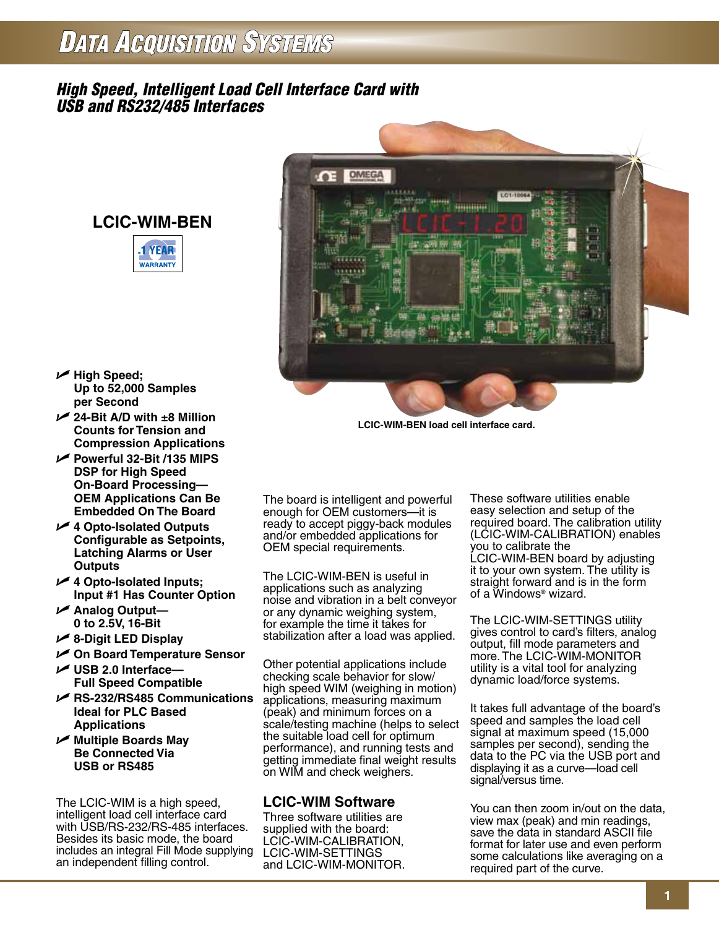## **DATA ACQUISITION SYSTEMS**

## *High Speed, Intelligent Load Cell Interface Card with USB and RS232/485 Interfaces*







U **High Speed; Up to 52,000 Samples per Second**

- U **24-Bit A/D with ±8 Million Counts for Tension and Compression Applications**
- U **Powerful 32-Bit /135 MIPS DSP for High Speed On-Board Processing— OEM Applications Can Be Embedded On The Board**
- U **4 Opto-Isolated Outputs Configurable as Setpoints, Latching Alarms or User Outputs**
- U **4 Opto-Isolated Inputs; Input #1 Has Counter Option**
- U **Analog Output— 0 to 2.5V, 16-Bit**
- U **8-Digit LED Display**
- U **On Board Temperature Sensor** U **USB 2.0 Interface—**
- **Full Speed Compatible** U **RS-232/RS485 Communications**
- **Ideal for PLC Based Applications**
- U **Multiple Boards May Be Connected Via USB or RS485**

The LCIC-WIM is a high speed, intelligent load cell interface card with USB/RS-232/RS-485 interfaces. Besides its basic mode, the board includes an integral Fill Mode supplying an independent filling control.

**LCIC-WIM-BEN load cell interface card.**

The board is intelligent and powerful enough for OEM customers—it is ready to accept piggy-back modules and/or embedded applications for OEM special requirements.

The LCIC-WIM-BEN is useful in applications such as analyzing noise and vibration in a belt conveyor or any dynamic weighing system, for example the time it takes for stabilization after a load was applied.

Other potential applications include checking scale behavior for slow/ high speed WIM (weighing in motion) applications, measuring maximum (peak) and minimum forces on a scale/testing machine (helps to select the suitable load cell for optimum performance), and running tests and getting immediate final weight results on WIM and check weighers.

## **LCIC-WIM Software**

Three software utilities are supplied with the board: LCIC-WIM-CALIBRATION, LCIC-WIM-SETTINGS and LCIC-WIM-MONITOR.

These software utilities enable easy selection and setup of the required board. The calibration utility (LCIC-WIM-CALIBRATION) enables you to calibrate the LCIC-WIM-BEN board by adjusting it to your own system. The utility is straight forward and is in the form of a Windows® wizard.

The LCIC-WIM-SETTINGS utility gives control to card's filters, analog output, fill mode parameters and more. The LCIC-WIM-MONITOR utility is a vital tool for analyzing dynamic load/force systems.

It takes full advantage of the board's speed and samples the load cell signal at maximum speed (15,000 samples per second), sending the data to the PC via the USB port and displaying it as a curve—load cell signal/versus time.

You can then zoom in/out on the data, view max (peak) and min readings, save the data in standard ASCII file format for later use and even perform some calculations like averaging on a required part of the curve.